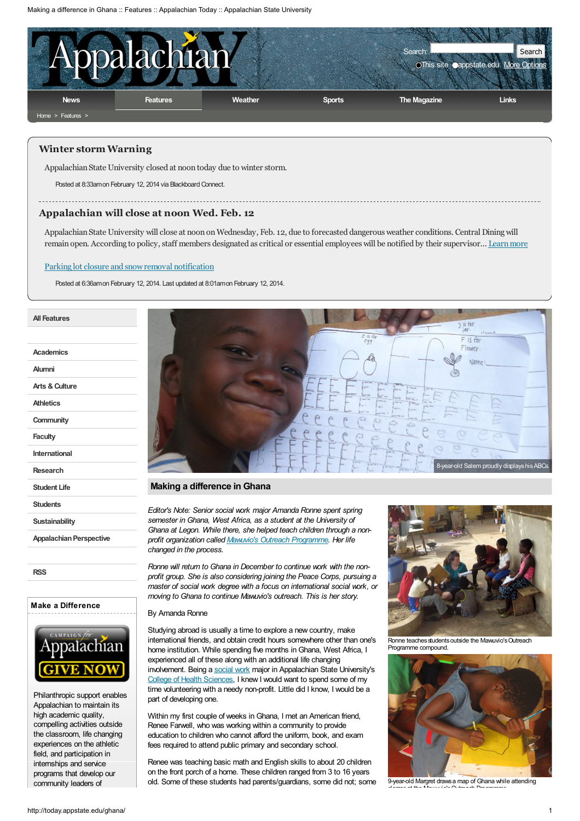

## Winter storm Warning

Appalachian State University closed at noon today due to winter storm.

Posted at 8:33amon February 12, 2014 via Blackboard Connect.

Appalachian will close at noon Wed. Feb. 12

Appalachian State University will close at noon on Wednesday, Feb. 12, due to forecasted dangerous weather conditions. Central Dining will remain open. According to policy, staff members designated as critical or essential employees will be notified by their supervisor... Learn more

### Parking lot closure and snow removal notification

Posted at 6:36amon February 12, 2014. Last updated at 8:01amon February 12, 2014.

| Academics                      |
|--------------------------------|
| Alumni                         |
| Arts & Culture                 |
| <b>Athletics</b>               |
| Community                      |
| <b>Faculty</b>                 |
| International                  |
| Research                       |
| Student Life                   |
| <b>Students</b>                |
| <b>Sustainability</b>          |
| <b>Appalachian Perspective</b> |
|                                |

All [Features](http://today.appstate.edu/features/1)

[RSS](http://today.appstate.edu/feeds/features.php)

# Make a Difference



Philanthropic support enables Appalachian to maintain its high academic quality, compelling activities outside the classroom, life changing experiences on the athletic field, and participation in internships and service programs that develop our community leaders of



## Making a difference in Ghana

Editor's Note: Senior social work major Amanda Ronne spent spring semester in Ghana, West Africa, as a student at the University of Ghana at Legon. While there, she helped teach children through a nonprofit organization called Mawuvio's Outreach [Programme](http://mawuviosoutreachprogramme.weebly.com/in-recent-news.html). Her life changed in the process.

Ronne will return to Ghana in December to continue work with the nonprofit group. She is also considering joining the Peace Corps, pursuing a master of social work degree with a focus on international social work, or moving to Ghana to continue Mawuvio's outreach. This is her story.

# By Amanda Ronne

Studying abroad is usually a time to explore a new country, make international friends, and obtain credit hours somewhere other than one's home institution. While spending five months in Ghana, West Africa, I experienced all of these along with an additional life changing involvement. Being a [social](http://www.socialwork.appstate.edu/) work major in Appalachian State University's College of Health [Sciences,](http://www.healthsciences.appstate.edu/) I knew I would want to spend some of my time volunteering with a needy non-profit. Little did I know, I would be a part of developing one.

Within my first couple of weeks in Ghana, I met an American friend, Renee Farwell, who was working within a community to provide education to children who cannot afford the uniform, book, and exam fees required to attend public primary and secondary school.

Renee was teaching basic math and English skills to about 20 children on the front porch of a home. These children ranged from 3 to 16 years old. Some of these students had parents/guardians, some did not; some



Ronne teaches students outside the Mawuvio's Outreach Programme compound.



9-year-old Margret drawsa map of Ghana while attending classesat the Mawuvio'sOutreach Programme.